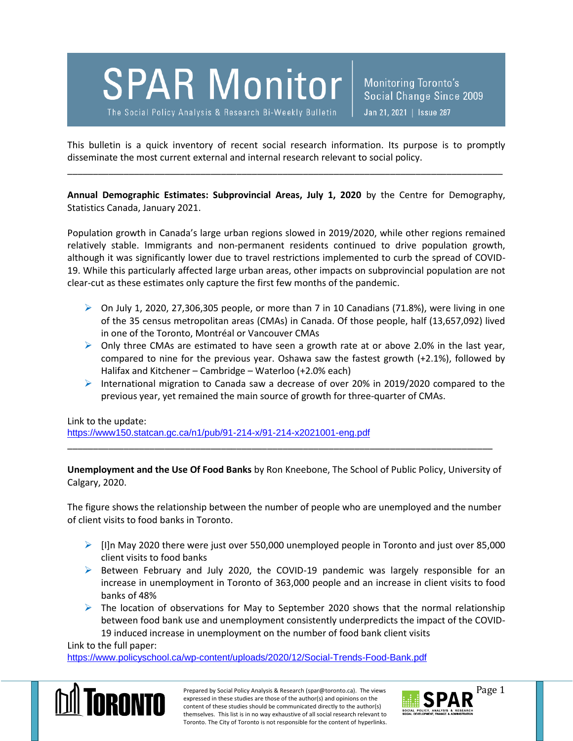

The Social Policy Analysis & Research Bi-Weekly Bulletin

**Monitoring Toronto's** Social Change Since 2009 Jan 21, 2021 | Issue 287

This bulletin is a quick inventory of recent social research information. Its purpose is to promptly disseminate the most current external and internal research relevant to social policy.

\_\_\_\_\_\_\_\_\_\_\_\_\_\_\_\_\_\_\_\_\_\_\_\_\_\_\_\_\_\_\_\_\_\_\_\_\_\_\_\_\_\_\_\_\_\_\_\_\_\_\_\_\_\_\_\_\_\_\_\_\_\_\_\_\_\_\_\_\_\_\_\_\_\_\_\_\_\_\_\_\_\_\_\_\_

**Annual Demographic Estimates: Subprovincial Areas, July 1, 2020** by the Centre for Demography, Statistics Canada, January 2021.

Population growth in Canada's large urban regions slowed in 2019/2020, while other regions remained relatively stable. Immigrants and non-permanent residents continued to drive population growth, although it was significantly lower due to travel restrictions implemented to curb the spread of COVID-19. While this particularly affected large urban areas, other impacts on subprovincial population are not clear-cut as these estimates only capture the first few months of the pandemic.

- $\triangleright$  On July 1, 2020, 27,306,305 people, or more than 7 in 10 Canadians (71.8%), were living in one of the 35 census metropolitan areas (CMAs) in Canada. Of those people, half (13,657,092) lived in one of the Toronto, Montréal or Vancouver CMAs
- $\triangleright$  Only three CMAs are estimated to have seen a growth rate at or above 2.0% in the last year, compared to nine for the previous year. Oshawa saw the fastest growth (+2.1%), followed by Halifax and Kitchener – Cambridge – Waterloo (+2.0% each)
- International migration to Canada saw a decrease of over 20% in 2019/2020 compared to the previous year, yet remained the main source of growth for three-quarter of CMAs.

Link to the update:

<https://www150.statcan.gc.ca/n1/pub/91-214-x/91-214-x2021001-eng.pdf>

**Unemployment and the Use Of Food Banks** by Ron Kneebone, The School of Public Policy, University of Calgary, 2020.

\_\_\_\_\_\_\_\_\_\_\_\_\_\_\_\_\_\_\_\_\_\_\_\_\_\_\_\_\_\_\_\_\_\_\_\_\_\_\_\_\_\_\_\_\_\_\_\_\_\_\_\_\_\_\_\_\_\_\_\_\_\_\_\_\_\_\_\_\_\_\_\_\_\_\_\_\_\_\_\_\_\_\_

The figure shows the relationship between the number of people who are unemployed and the number of client visits to food banks in Toronto.

- $\triangleright$  [I]n May 2020 there were just over 550,000 unemployed people in Toronto and just over 85,000 client visits to food banks
- $\triangleright$  Between February and July 2020, the COVID-19 pandemic was largely responsible for an increase in unemployment in Toronto of 363,000 people and an increase in client visits to food banks of 48%
- $\triangleright$  The location of observations for May to September 2020 shows that the normal relationship between food bank use and unemployment consistently underpredicts the impact of the COVID-19 induced increase in unemployment on the number of food bank client visits

Link to the full paper:

<https://www.policyschool.ca/wp-content/uploads/2020/12/Social-Trends-Food-Bank.pdf>



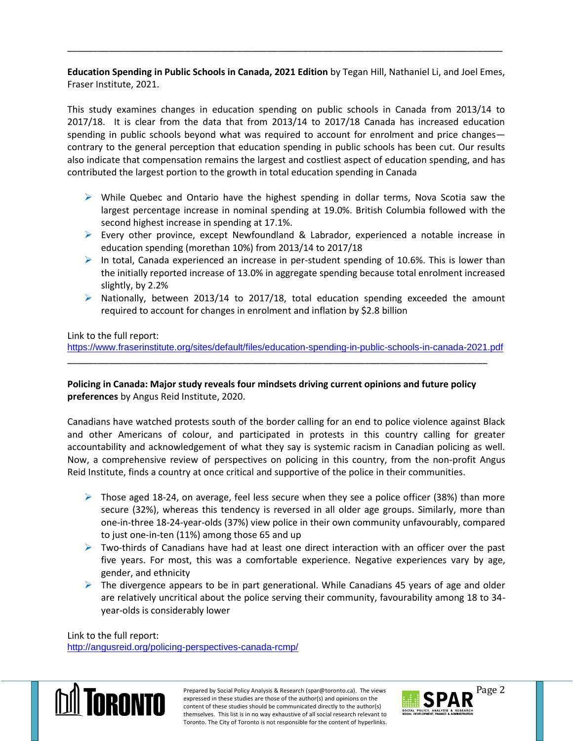**Education Spending in Public Schools in Canada, 2021 Edition** by Tegan Hill, Nathaniel Li, and Joel Emes, Fraser Institute, 2021.

\_\_\_\_\_\_\_\_\_\_\_\_\_\_\_\_\_\_\_\_\_\_\_\_\_\_\_\_\_\_\_\_\_\_\_\_\_\_\_\_\_\_\_\_\_\_\_\_\_\_\_\_\_\_\_\_\_\_\_\_\_\_\_\_\_\_\_\_\_\_\_\_\_\_\_\_\_\_\_\_\_\_\_\_\_

This study examines changes in education spending on public schools in Canada from 2013/14 to 2017/18. It is clear from the data that from 2013/14 to 2017/18 Canada has increased education spending in public schools beyond what was required to account for enrolment and price changes contrary to the general perception that education spending in public schools has been cut. Our results also indicate that compensation remains the largest and costliest aspect of education spending, and has contributed the largest portion to the growth in total education spending in Canada

- $\triangleright$  While Quebec and Ontario have the highest spending in dollar terms, Nova Scotia saw the largest percentage increase in nominal spending at 19.0%. British Columbia followed with the second highest increase in spending at 17.1%.
- Every other province, except Newfoundland & Labrador, experienced a notable increase in education spending (morethan 10%) from 2013/14 to 2017/18
- $\triangleright$  In total, Canada experienced an increase in per-student spending of 10.6%. This is lower than the initially reported increase of 13.0% in aggregate spending because total enrolment increased slightly, by 2.2%
- $\triangleright$  Nationally, between 2013/14 to 2017/18, total education spending exceeded the amount required to account for changes in enrolment and inflation by \$2.8 billion

Link to the full report:

<https://www.fraserinstitute.org/sites/default/files/education-spending-in-public-schools-in-canada-2021.pdf>

**Policing in Canada: Major study reveals four mindsets driving current opinions and future policy preferences** by Angus Reid Institute, 2020.

\_\_\_\_\_\_\_\_\_\_\_\_\_\_\_\_\_\_\_\_\_\_\_\_\_\_\_\_\_\_\_\_\_\_\_\_\_\_\_\_\_\_\_\_\_\_\_\_\_\_\_\_\_\_\_\_\_\_\_\_\_\_\_\_\_\_\_\_\_\_\_\_\_\_\_\_\_\_\_\_\_\_

Canadians have watched protests south of the border calling for an end to police violence against Black and other Americans of colour, and participated in protests in this country calling for greater accountability and acknowledgement of what they say is systemic racism in Canadian policing as well. Now, a comprehensive review of perspectives on policing in this country, from the non-profit Angus Reid Institute, finds a country at once critical and supportive of the police in their communities.

- $\triangleright$  Those aged 18-24, on average, feel less secure when they see a police officer (38%) than more secure (32%), whereas this tendency is reversed in all older age groups. Similarly, more than one-in-three 18-24-year-olds (37%) view police in their own community unfavourably, compared to just one-in-ten (11%) among those 65 and up
- $\triangleright$  Two-thirds of Canadians have had at least one direct interaction with an officer over the past five years. For most, this was a comfortable experience. Negative experiences vary by age, gender, and ethnicity
- $\triangleright$  The divergence appears to be in part generational. While Canadians 45 years of age and older are relatively uncritical about the police serving their community, favourability among 18 to 34 year-olds is considerably lower

Link to the full report: <http://angusreid.org/policing-perspectives-canada-rcmp/>



Prepared by Social Policy Analysis & Research (spar@toronto.ca). The views Page 2 expressed in these studies are those of the author(s) and opinions on the content of these studies should be communicated directly to the author(s) themselves. This list is in no way exhaustive of all social research relevant to Toronto. The City of Toronto is not responsible for the content of hyperlinks.